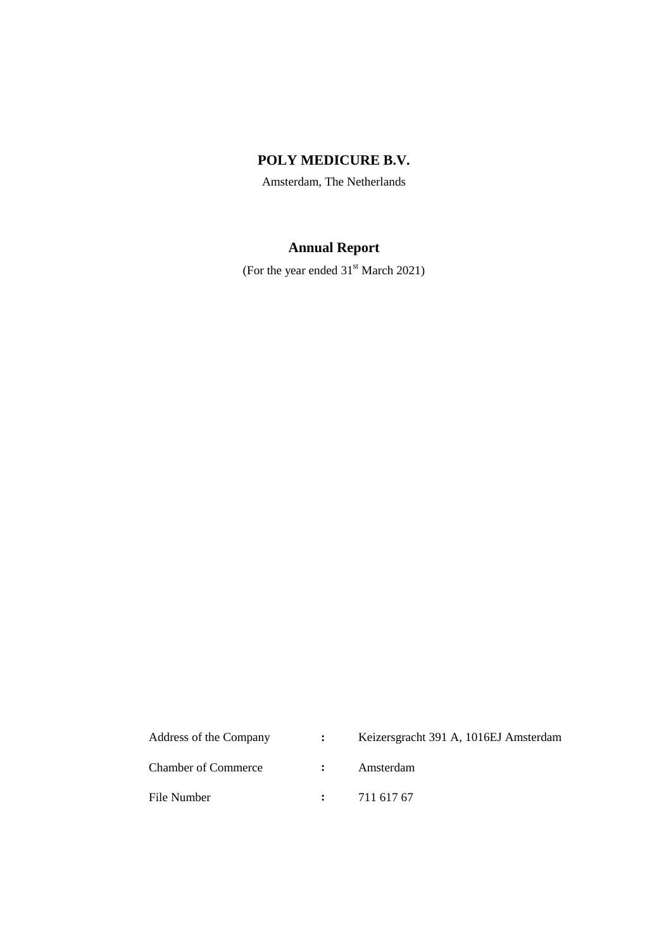# **POLY MEDICURE B.V.**

Amsterdam, The Netherlands

# **Annual Report**

(For the year ended 31<sup>st</sup> March 2021)

| Address of the Company     | $\mathbf{L}$ | Keizersgracht 391 A, 1016EJ Amsterdam |
|----------------------------|--------------|---------------------------------------|
| <b>Chamber of Commerce</b> |              | Amsterdam                             |
| File Number                |              | 711 617 67                            |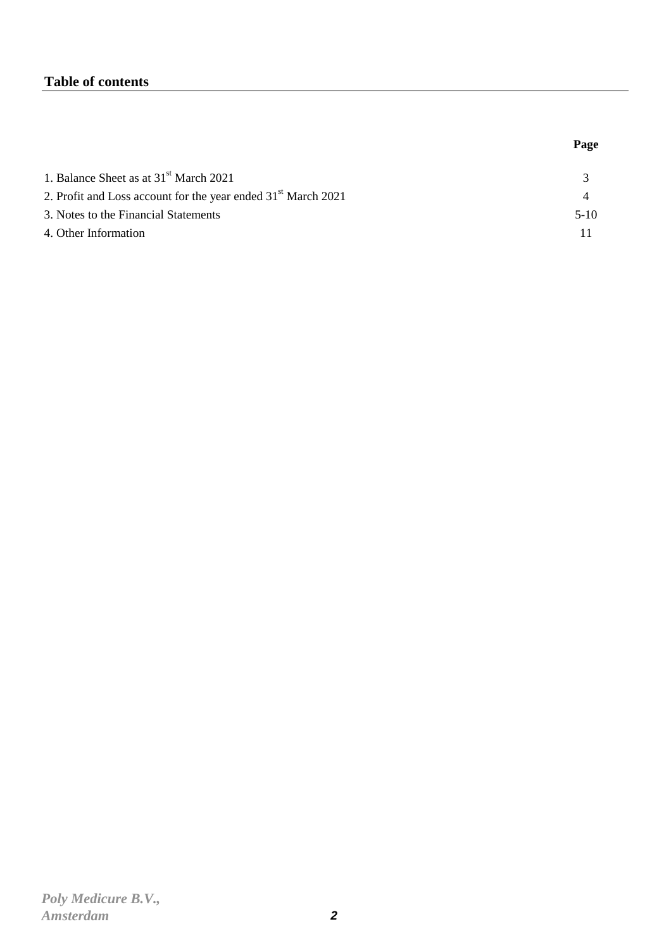# **Table of contents**

|                                                                           | Page   |
|---------------------------------------------------------------------------|--------|
| 1. Balance Sheet as at $31st$ March 2021                                  |        |
| 2. Profit and Loss account for the year ended 31 <sup>st</sup> March 2021 |        |
| 3. Notes to the Financial Statements                                      | $5-10$ |
| 4. Other Information                                                      |        |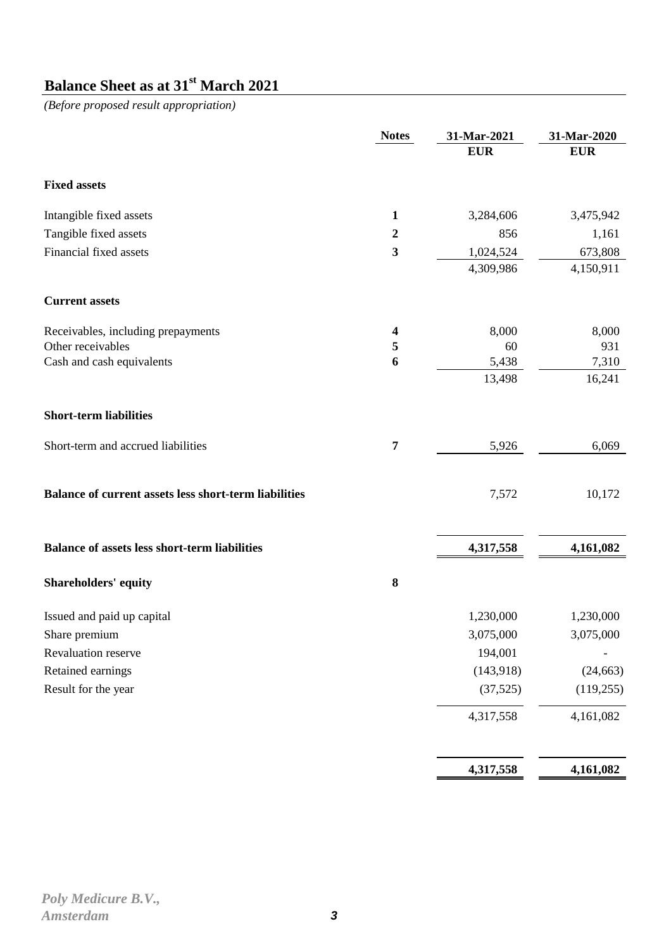# **Balance Sheet as at 31st March 2021**

*(Before proposed result appropriation)*

|                                                              | <b>Notes</b>     | 31-Mar-2021 | 31-Mar-2020 |
|--------------------------------------------------------------|------------------|-------------|-------------|
|                                                              |                  | <b>EUR</b>  | <b>EUR</b>  |
| <b>Fixed assets</b>                                          |                  |             |             |
| Intangible fixed assets                                      | $\mathbf{1}$     | 3,284,606   | 3,475,942   |
| Tangible fixed assets                                        | $\boldsymbol{2}$ | 856         | 1,161       |
| Financial fixed assets                                       | 3                | 1,024,524   | 673,808     |
|                                                              |                  | 4,309,986   | 4,150,911   |
| <b>Current assets</b>                                        |                  |             |             |
| Receivables, including prepayments                           | 4                | 8,000       | 8,000       |
| Other receivables                                            | 5                | 60          | 931         |
| Cash and cash equivalents                                    | 6                | 5,438       | 7,310       |
|                                                              |                  | 13,498      | 16,241      |
| <b>Short-term liabilities</b>                                |                  |             |             |
| Short-term and accrued liabilities                           | $\overline{7}$   | 5,926       | 6,069       |
| <b>Balance of current assets less short-term liabilities</b> |                  | 7,572       | 10,172      |
| <b>Balance of assets less short-term liabilities</b>         |                  | 4,317,558   | 4,161,082   |
| <b>Shareholders' equity</b>                                  | $\bf 8$          |             |             |
| Issued and paid up capital                                   |                  | 1,230,000   | 1,230,000   |
| Share premium                                                |                  | 3,075,000   | 3,075,000   |
| Revaluation reserve                                          |                  | 194,001     |             |
| Retained earnings                                            |                  | (143,918)   | (24, 663)   |
| Result for the year                                          |                  | (37, 525)   | (119, 255)  |
|                                                              |                  | 4,317,558   | 4,161,082   |
|                                                              |                  |             |             |
|                                                              |                  | 4,317,558   | 4,161,082   |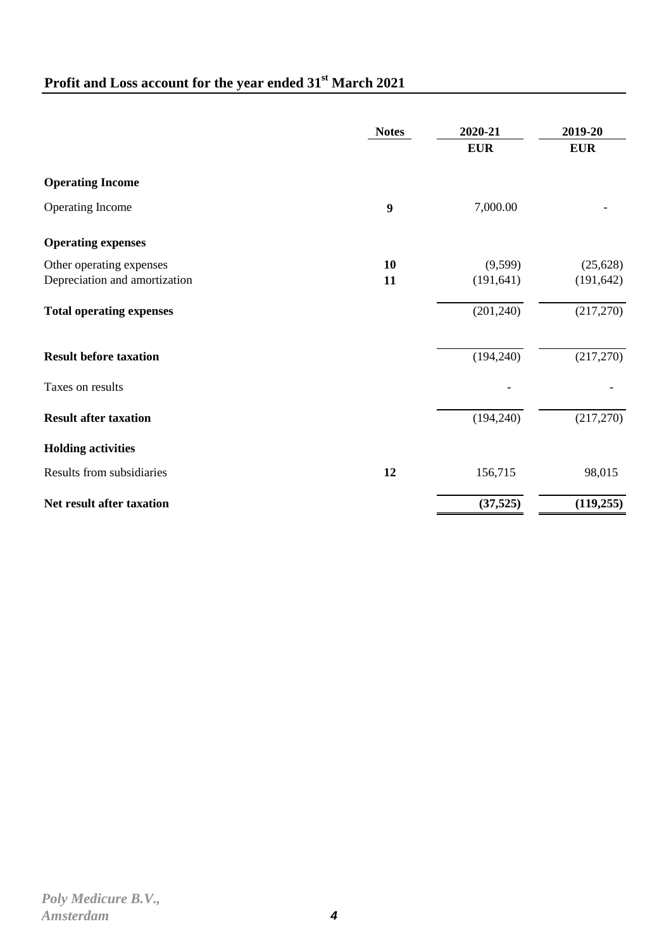# **Profit and Loss account for the year ended 31st March 2021**

|                                 | <b>Notes</b> | 2020-21    | 2019-20    |
|---------------------------------|--------------|------------|------------|
|                                 |              | <b>EUR</b> | <b>EUR</b> |
| <b>Operating Income</b>         |              |            |            |
| Operating Income                | 9            | 7,000.00   |            |
| <b>Operating expenses</b>       |              |            |            |
| Other operating expenses        | 10           | (9,599)    | (25, 628)  |
| Depreciation and amortization   | 11           | (191, 641) | (191, 642) |
| <b>Total operating expenses</b> |              | (201, 240) | (217,270)  |
| <b>Result before taxation</b>   |              | (194, 240) | (217,270)  |
| Taxes on results                |              |            |            |
| <b>Result after taxation</b>    |              | (194, 240) | (217,270)  |
| <b>Holding activities</b>       |              |            |            |
| Results from subsidiaries       | 12           | 156,715    | 98,015     |
| Net result after taxation       |              | (37, 525)  | (119, 255) |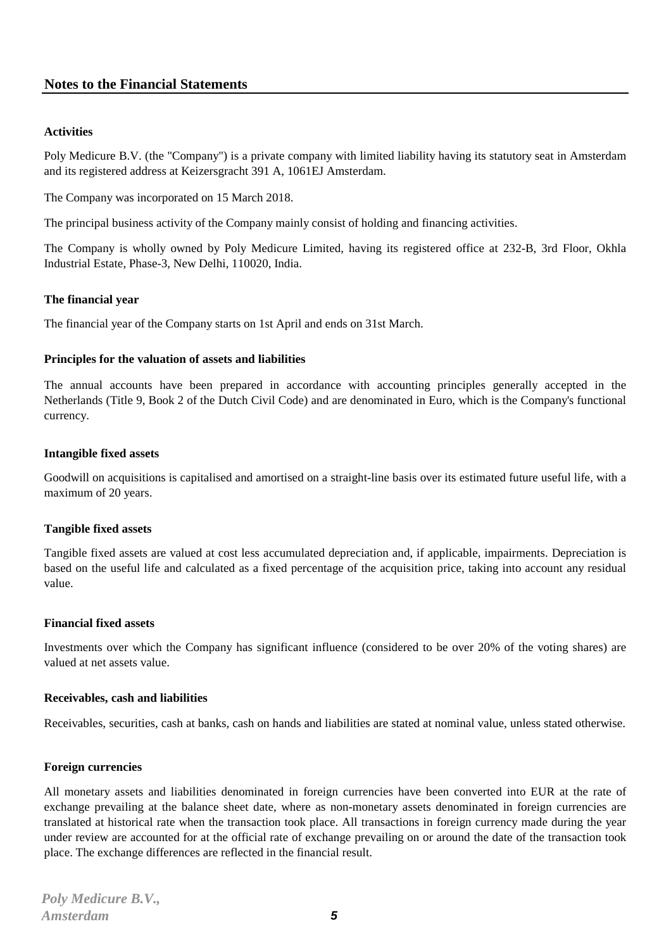# **Notes to the Financial Statements**

## **Activities**

Poly Medicure B.V. (the "Company") is a private company with limited liability having its statutory seat in Amsterdam and its registered address at Keizersgracht 391 A, 1061EJ Amsterdam.

The Company was incorporated on 15 March 2018.

The principal business activity of the Company mainly consist of holding and financing activities.

The Company is wholly owned by Poly Medicure Limited, having its registered office at 232-B, 3rd Floor, Okhla Industrial Estate, Phase-3, New Delhi, 110020, India.

### **The financial year**

The financial year of the Company starts on 1st April and ends on 31st March.

### **Principles for the valuation of assets and liabilities**

The annual accounts have been prepared in accordance with accounting principles generally accepted in the Netherlands (Title 9, Book 2 of the Dutch Civil Code) and are denominated in Euro, which is the Company's functional currency.

### **Intangible fixed assets**

Goodwill on acquisitions is capitalised and amortised on a straight-line basis over its estimated future useful life, with a maximum of 20 years.

### **Tangible fixed assets**

Tangible fixed assets are valued at cost less accumulated depreciation and, if applicable, impairments. Depreciation is based on the useful life and calculated as a fixed percentage of the acquisition price, taking into account any residual value.

### **Financial fixed assets**

Investments over which the Company has significant influence (considered to be over 20% of the voting shares) are valued at net assets value.

### **Receivables, cash and liabilities**

Receivables, securities, cash at banks, cash on hands and liabilities are stated at nominal value, unless stated otherwise.

### **Foreign currencies**

All monetary assets and liabilities denominated in foreign currencies have been converted into EUR at the rate of exchange prevailing at the balance sheet date, where as non-monetary assets denominated in foreign currencies are translated at historical rate when the transaction took place. All transactions in foreign currency made during the year under review are accounted for at the official rate of exchange prevailing on or around the date of the transaction took place. The exchange differences are reflected in the financial result.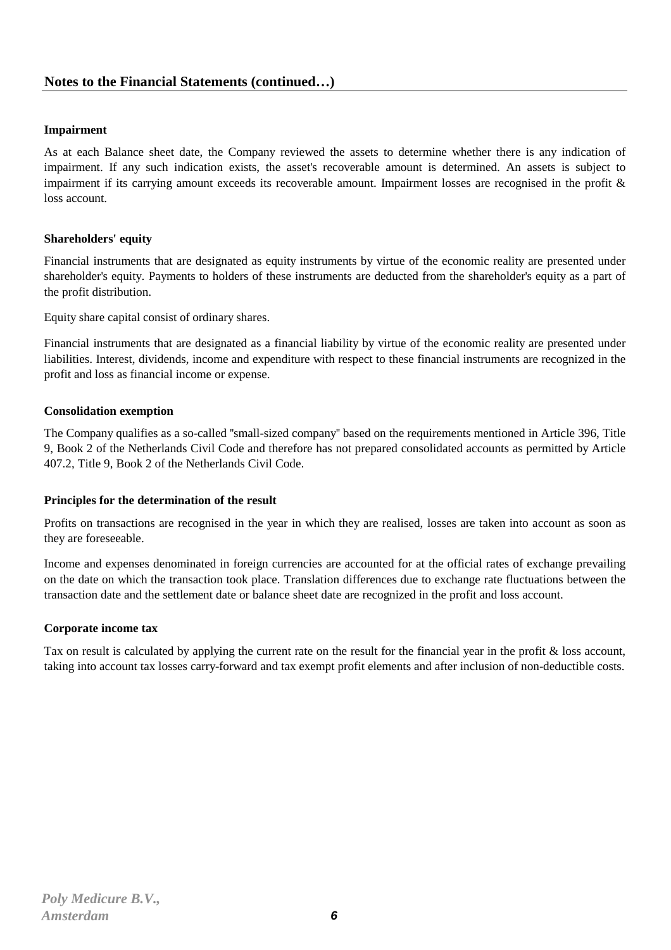# **Impairment**

As at each Balance sheet date, the Company reviewed the assets to determine whether there is any indication of impairment. If any such indication exists, the asset's recoverable amount is determined. An assets is subject to impairment if its carrying amount exceeds its recoverable amount. Impairment losses are recognised in the profit  $\&$ loss account.

# **Shareholders' equity**

Financial instruments that are designated as equity instruments by virtue of the economic reality are presented under shareholder's equity. Payments to holders of these instruments are deducted from the shareholder's equity as a part of the profit distribution.

Equity share capital consist of ordinary shares.

Financial instruments that are designated as a financial liability by virtue of the economic reality are presented under liabilities. Interest, dividends, income and expenditure with respect to these financial instruments are recognized in the profit and loss as financial income or expense.

## **Consolidation exemption**

The Company qualifies as a so-called ''small-sized company'' based on the requirements mentioned in Article 396, Title 9, Book 2 of the Netherlands Civil Code and therefore has not prepared consolidated accounts as permitted by Article 407.2, Title 9, Book 2 of the Netherlands Civil Code.

### **Principles for the determination of the result**

Profits on transactions are recognised in the year in which they are realised, losses are taken into account as soon as they are foreseeable.

Income and expenses denominated in foreign currencies are accounted for at the official rates of exchange prevailing on the date on which the transaction took place. Translation differences due to exchange rate fluctuations between the transaction date and the settlement date or balance sheet date are recognized in the profit and loss account.

# **Corporate income tax**

Tax on result is calculated by applying the current rate on the result for the financial year in the profit & loss account, taking into account tax losses carry-forward and tax exempt profit elements and after inclusion of non-deductible costs.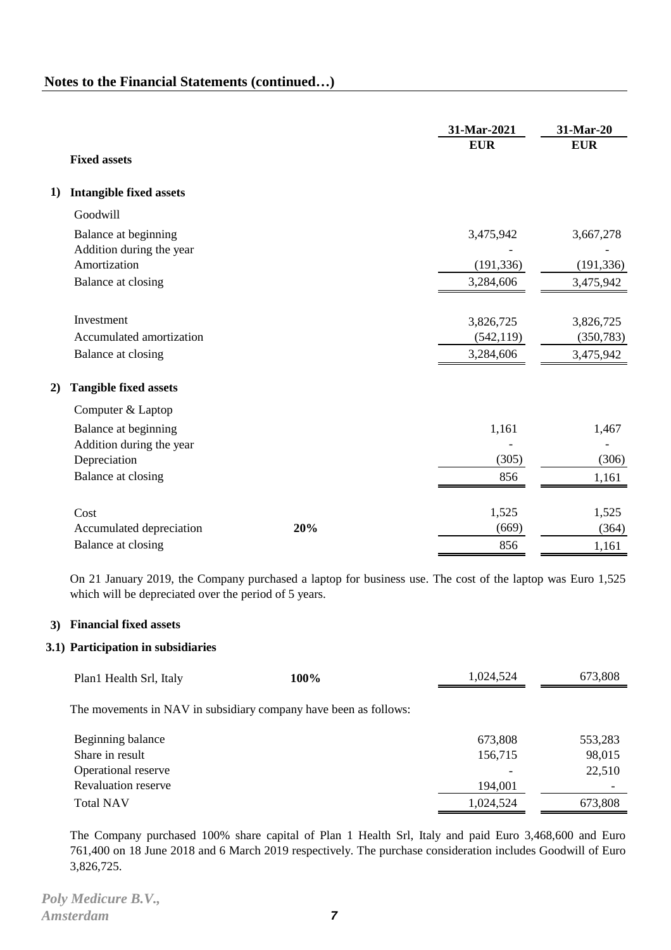|    |                                                  |     | 31-Mar-2021<br><b>EUR</b> | 31-Mar-20<br><b>EUR</b> |
|----|--------------------------------------------------|-----|---------------------------|-------------------------|
|    | <b>Fixed assets</b>                              |     |                           |                         |
| 1) | <b>Intangible fixed assets</b>                   |     |                           |                         |
|    | Goodwill                                         |     |                           |                         |
|    | Balance at beginning<br>Addition during the year |     | 3,475,942                 | 3,667,278               |
|    | Amortization                                     |     | (191, 336)                | (191, 336)              |
|    | Balance at closing                               |     | 3,284,606                 | 3,475,942               |
|    | Investment                                       |     | 3,826,725                 | 3,826,725               |
|    | Accumulated amortization                         |     | (542, 119)                | (350, 783)              |
|    | Balance at closing                               |     | 3,284,606                 | 3,475,942               |
| 2) | <b>Tangible fixed assets</b>                     |     |                           |                         |
|    | Computer & Laptop                                |     |                           |                         |
|    | Balance at beginning                             |     | 1,161                     | 1,467                   |
|    | Addition during the year<br>Depreciation         |     | (305)                     | (306)                   |
|    | Balance at closing                               |     | 856                       | 1,161                   |
|    | Cost                                             |     | 1,525                     | 1,525                   |
|    | Accumulated depreciation                         | 20% | (669)                     | (364)                   |
|    | Balance at closing                               |     | 856                       | 1,161                   |
|    |                                                  |     |                           |                         |

On 21 January 2019, the Company purchased a laptop for business use. The cost of the laptop was Euro 1,525 which will be depreciated over the period of 5 years.

## **3) Financial fixed assets**

## **3.1) Participation in subsidiaries**

| Plan1 Health Srl, Italy                                          | 100% | 1,024,524 | 673,808 |
|------------------------------------------------------------------|------|-----------|---------|
| The movements in NAV in subsidiary company have been as follows: |      |           |         |
| Beginning balance                                                |      | 673,808   | 553,283 |
| Share in result                                                  |      | 156,715   | 98,015  |
| Operational reserve                                              |      |           | 22,510  |
| <b>Revaluation reserve</b>                                       |      | 194,001   |         |
| <b>Total NAV</b>                                                 |      | 1,024,524 | 673,808 |

The Company purchased 100% share capital of Plan 1 Health Srl, Italy and paid Euro 3,468,600 and Euro 761,400 on 18 June 2018 and 6 March 2019 respectively. The purchase consideration includes Goodwill of Euro 3,826,725.

*Poly Medicure B.V., Amsterdam* **7**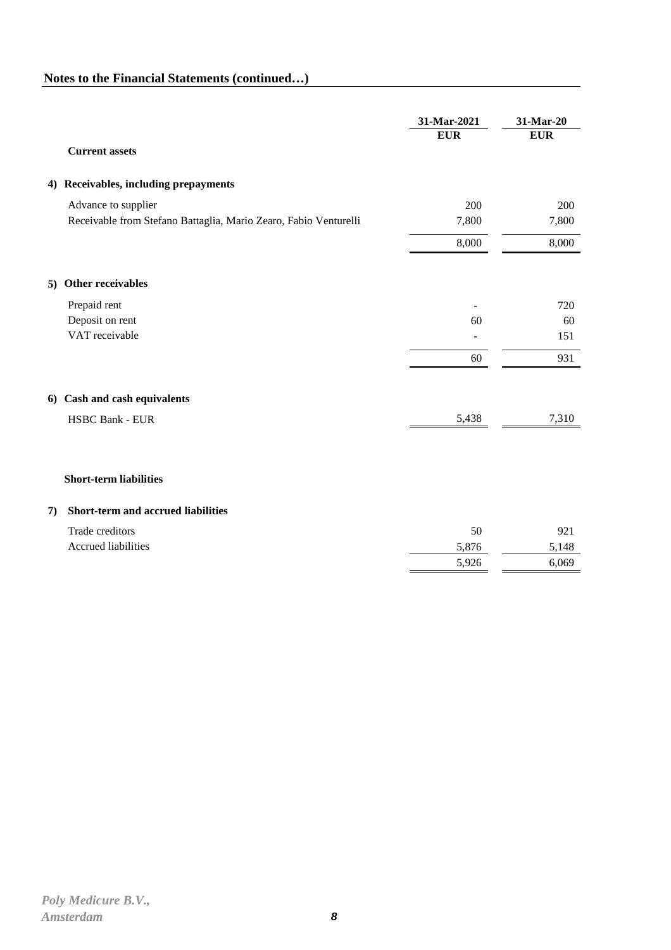|    |                                                                  | 31-Mar-2021 | 31-Mar-20  |
|----|------------------------------------------------------------------|-------------|------------|
|    |                                                                  | <b>EUR</b>  | <b>EUR</b> |
|    | <b>Current assets</b>                                            |             |            |
|    | 4) Receivables, including prepayments                            |             |            |
|    | Advance to supplier                                              | 200         | 200        |
|    | Receivable from Stefano Battaglia, Mario Zearo, Fabio Venturelli | 7,800       | 7,800      |
|    |                                                                  | 8,000       | 8,000      |
|    | 5) Other receivables                                             |             |            |
|    | Prepaid rent                                                     |             | 720        |
|    | Deposit on rent                                                  | 60          | 60         |
|    | VAT receivable                                                   |             | 151        |
|    |                                                                  | 60          | 931        |
|    | 6) Cash and cash equivalents                                     |             |            |
|    | <b>HSBC Bank - EUR</b>                                           | 5,438       | 7,310      |
|    |                                                                  |             |            |
|    | <b>Short-term liabilities</b>                                    |             |            |
| 7) | Short-term and accrued liabilities                               |             |            |
|    | Trade creditors                                                  | 50          | 921        |
|    | Accrued liabilities                                              | 5,876       | 5,148      |
|    |                                                                  | 5,926       | 6,069      |
|    |                                                                  |             |            |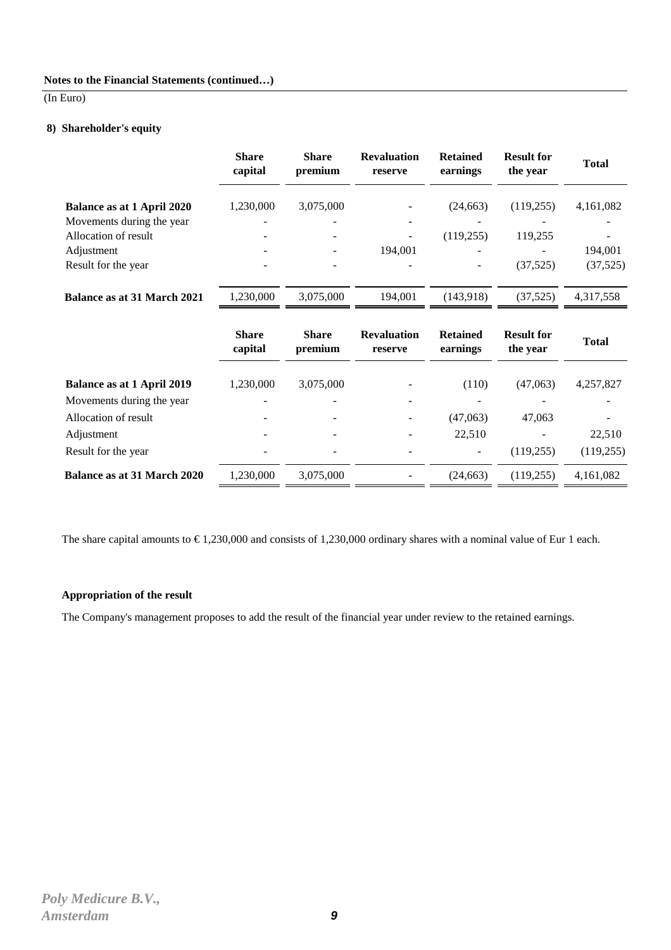### (In Euro)

#### **8) Shareholder's equity**

|                                    | <b>Share</b><br>capital | <b>Share</b><br>premium | <b>Revaluation</b><br>reserve | <b>Retained</b><br>earnings | <b>Result for</b><br>the year | <b>Total</b>         |
|------------------------------------|-------------------------|-------------------------|-------------------------------|-----------------------------|-------------------------------|----------------------|
| <b>Balance as at 1 April 2020</b>  | 1,230,000               | 3,075,000               |                               | (24, 663)                   | (119,255)                     | 4,161,082            |
| Movements during the year          |                         |                         |                               |                             |                               |                      |
| Allocation of result               |                         |                         |                               | (119, 255)                  | 119,255                       |                      |
| Adjustment                         |                         |                         | 194,001                       |                             |                               | 194,001              |
| Result for the year                |                         |                         |                               |                             | (37, 525)                     | (37, 525)            |
| <b>Balance as at 31 March 2021</b> | 1,230,000               | 3,075,000               | 194,001                       | (143,918)                   | (37, 525)                     | 4,317,558            |
|                                    | <b>Share</b><br>capital | <b>Share</b><br>premium | <b>Revaluation</b><br>reserve | <b>Retained</b><br>earnings | <b>Result for</b><br>the year | <b>Total</b>         |
| <b>Balance as at 1 April 2019</b>  |                         |                         |                               |                             |                               |                      |
|                                    |                         |                         |                               |                             |                               |                      |
|                                    | 1,230,000               | 3,075,000               |                               | (110)                       | (47,063)                      | 4,257,827            |
| Movements during the year          |                         |                         |                               |                             |                               |                      |
| Allocation of result               |                         |                         |                               | (47,063)                    | 47,063                        |                      |
| Adjustment<br>Result for the year  |                         |                         |                               | 22,510                      | (119, 255)                    | 22,510<br>(119, 255) |

The share capital amounts to  $\epsilon$  1,230,000 and consists of 1,230,000 ordinary shares with a nominal value of Eur 1 each.

#### **Appropriation of the result**

The Company's management proposes to add the result of the financial year under review to the retained earnings.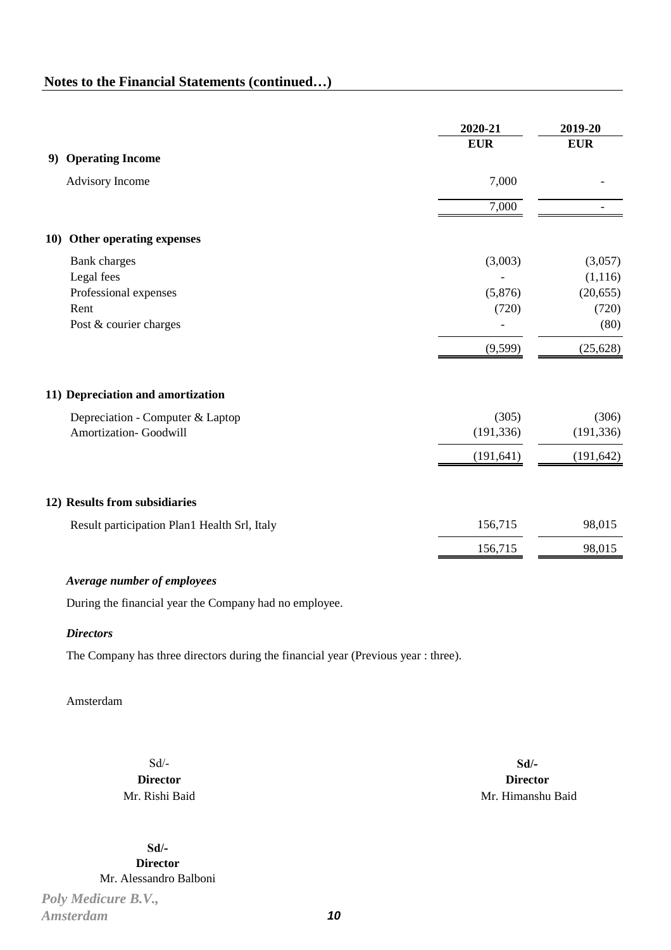|            |                                                                                              | 2020-21                     | 2019-20                                           |
|------------|----------------------------------------------------------------------------------------------|-----------------------------|---------------------------------------------------|
| 9)         | <b>Operating Income</b>                                                                      | <b>EUR</b>                  | <b>EUR</b>                                        |
|            | <b>Advisory Income</b>                                                                       | 7,000                       |                                                   |
|            |                                                                                              | 7,000                       |                                                   |
| <b>10)</b> | Other operating expenses                                                                     |                             |                                                   |
|            | <b>Bank</b> charges<br>Legal fees<br>Professional expenses<br>Rent<br>Post & courier charges | (3,003)<br>(5,876)<br>(720) | (3,057)<br>(1, 116)<br>(20, 655)<br>(720)<br>(80) |
|            |                                                                                              | (9, 599)                    | (25, 628)                                         |
|            | 11) Depreciation and amortization                                                            |                             |                                                   |
|            | Depreciation - Computer & Laptop<br>Amortization- Goodwill                                   | (305)<br>(191, 336)         | (306)<br>(191, 336)                               |
|            |                                                                                              | (191, 641)                  | (191, 642)                                        |
|            | 12) Results from subsidiaries                                                                |                             |                                                   |
|            | Result participation Plan1 Health Srl, Italy                                                 | 156,715                     | 98,015                                            |
|            |                                                                                              | 156,715                     | 98,015                                            |
|            | Average number of employees<br>During the financial year the Company had no employee.        |                             |                                                   |

#### *Directors*

The Company has three directors during the financial year (Previous year : three).

# Amsterdam

Sd/- **Director** Mr. Rishi Baid

**Sd/- Director** Mr. Alessandro Balboni

*Poly Medicure B.V., Amsterdam* **10**

**Sd/- Director** Mr. Himanshu Baid